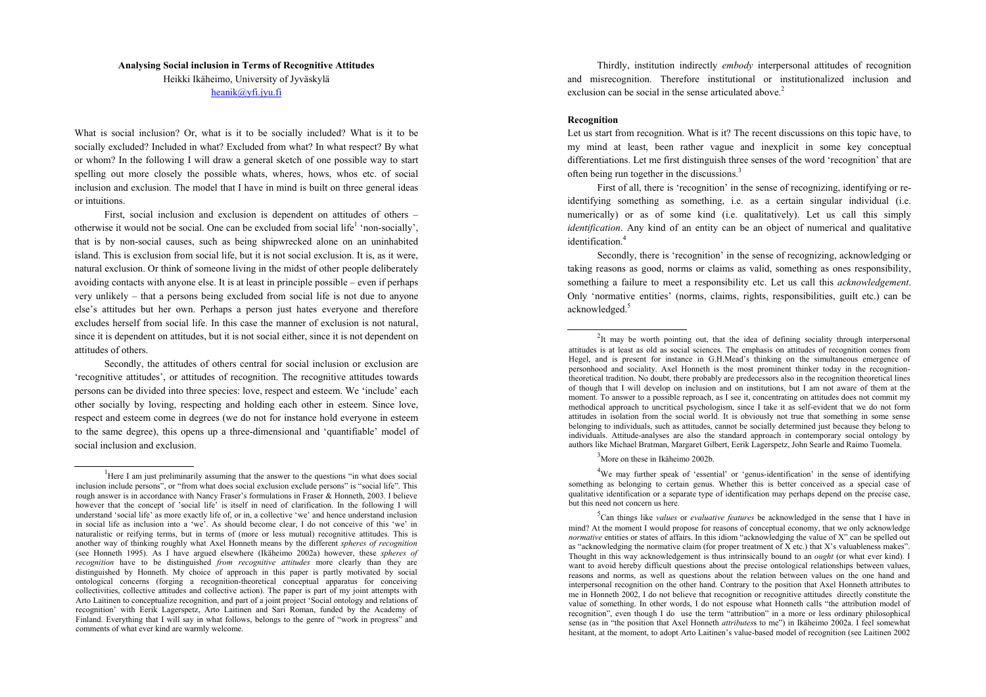# **Analysing Social inclusion in Terms of Recognitive Attitudes**

Heikki Ikäheimo, University of Jyväskylä heanik@yfi.jyu.fi

What is social inclusion? Or, what is it to be socially included? What is it to be socially excluded? Included in what? Excluded from what? In what respect? By what or whom? In the following I will draw a general sketch of one possible way to start spelling out more closely the possible whats, wheres, hows, whos etc. of social inclusion and exclusion. The model that I have in mind is built on three general ideas or intuitions.

 First, social inclusion and exclusion is dependent on attitudes of others – otherwise it would not be social. One can be excluded from social life<sup>1</sup> 'non-socially', that is by non-social causes, such as being shipwrecked alone on an uninhabited island. This is exclusion from social life, but it is not social exclusion. It is, as it were, natural exclusion. Or think of someone living in the midst of other people deliberately avoiding contacts with anyone else. It is at least in principle possible – even if perhaps very unlikely – that a persons being excluded from social life is not due to anyone else's attitudes but her own. Perhaps a person just hates everyone and therefore excludes herself from social life. In this case the manner of exclusion is not natural, since it is dependent on attitudes, but it is not social either, since it is not dependent on attitudes of others.

 Secondly, the attitudes of others central for social inclusion or exclusion are 'recognitive attitudes', or attitudes of recognition. The recognitive attitudes towards persons can be divided into three species: love, respect and esteem. We 'include' each other socially by loving, respecting and holding each other in esteem. Since love, respect and esteem come in degrees (we do not for instance hold everyone in esteem to the same degree), this opens up a three-dimensional and 'quantifiable' model of social inclusion and exclusion.

Thirdly, institution indirectly *embody* interpersonal attitudes of recognition and misrecognition. Therefore institutional or institutionalized inclusion and exclusion can be social in the sense articulated above.<sup>2</sup>

# **Recognition**

Let us start from recognition. What is it? The recent discussions on this topic have, to my mind at least, been rather vague and inexplicit in some key conceptual differentiations. Let me first distinguish three senses of the word 'recognition' that are often being run together in the discussions.<sup>3</sup>

 First of all, there is 'recognition' in the sense of recognizing, identifying or reidentifying something as something, i.e. as a certain singular individual (i.e. numerically) or as of some kind (i.e. qualitatively). Let us call this simply *identification*. Any kind of an entity can be an object of numerical and qualitative identification.<sup>4</sup>

 Secondly, there is 'recognition' in the sense of recognizing, acknowledging or taking reasons as good, norms or claims as valid, something as ones responsibility, something a failure to meet a responsibility etc. Let us call this *acknowledgement*. Only 'normative entities' (norms, claims, rights, responsibilities, guilt etc.) can be acknowledged.<sup>5</sup>

<sup>3</sup>More on these in Ikäheimo 2002b.

<sup>4</sup>We may further speak of 'essential' or 'genus-identification' in the sense of identifying something as belonging to certain genus. Whether this is better conceived as a special case of qualitative identification or a separate type of identification may perhaps depend on the precise case, but this need not concern us here.

5Can things like *values* or *evaluative features* be acknowledged in the sense that I have in mind? At the moment I would propose for reasons of conceptual economy, that we only acknowledge *normative* entities or states of affairs. In this idiom "acknowledging the value of X" can be spelled out as "acknowledging the normative claim (for proper treatment of  $\overline{X}$  etc.) that X's valuableness makes". Thought in this way acknowledgement is thus intrinsically bound to an *ought* (or what ever kind). I want to avoid hereby difficult questions about the precise ontological relationships between values, reasons and norms, as well as questions about the relation between values on the one hand and interpersonal recognition on the other hand. Contrary to the position that Axel Honneth attributes to me in Honneth 2002, I do not believe that recognition or recognitive attitudes directly constitute the value of something. In other words, I do not espouse what Honneth calls "the attribution model of recognition", even though I do use the term "attribution" in a more or less ordinary philosophical sense (as in "the position that Axel Honneth *attributes*s to me") in Ikäheimo 2002a. I feel somewhat hesitant, at the moment, to adopt Arto Laitinen's value-based model of recognition (see Laitinen 2002

<sup>&</sup>lt;sup>1</sup>Here I am just preliminarily assuming that the answer to the questions "in what does social inclusion include persons", or "from what does social exclusion exclude persons" is "social life". This rough answer is in accordance with Nancy Fraser's formulations in Fraser & Honneth, 2003. I believe however that the concept of 'social life' is itself in need of clarification. In the following I will understand 'social life' as more exactly life of, or in, a collective 'we' and hence understand inclusion in social life as inclusion into a 'we'. As should become clear, I do not conceive of this 'we' in naturalistic or reifying terms, but in terms of (more or less mutual) recognitive attitudes. This is another way of thinking roughly what Axel Honneth means by the different *spheres of recognition*  (see Honneth 1995). As I have argued elsewhere (Ikäheimo 2002a) however, these *spheres of recognition* have to be distinguished *from recognitive attitudes* more clearly than they are distinguished by Honneth. My choice of approach in this paper is partly motivated by social ontological concerns (forging a recognition-theoretical conceptual apparatus for conceiving collectivities, collective attitudes and collective action). The paper is part of my joint attempts with Arto Laitinen to conceptualize recognition, and part of a joint project 'Social ontology and relations of recognition' with Eerik Lagerspetz, Arto Laitinen and Sari Roman, funded by the Academy of Finland. Everything that I will say in what follows, belongs to the genre of "work in progress" and comments of what ever kind are warmly welcome.

 $2$ It may be worth pointing out, that the idea of defining sociality through interpersonal attitudes is at least as old as social sciences. The emphasis on attitudes of recognition comes from Hegel, and is present for instance in G.H.Mead's thinking on the simultaneous emergence of personhood and sociality. Axel Honneth is the most prominent thinker today in the recognitiontheoretical tradition. No doubt, there probably are predecessors also in the recognition theoretical lines of though that I will develop on inclusion and on institutions, but I am not aware of them at the moment. To answer to a possible reproach, as I see it, concentrating on attitudes does not commit my methodical approach to uncritical psychologism, since I take it as self-evident that we do not form attitudes in isolation from the social world. It is obviously not true that something in some sense belonging to individuals, such as attitudes, cannot be socially determined just because they belong to individuals. Attitude-analyses are also the standard approach in contemporary social ontology by authors like Michael Bratman, Margaret Gilbert, Eerik Lagerspetz, John Searle and Raimo Tuomela.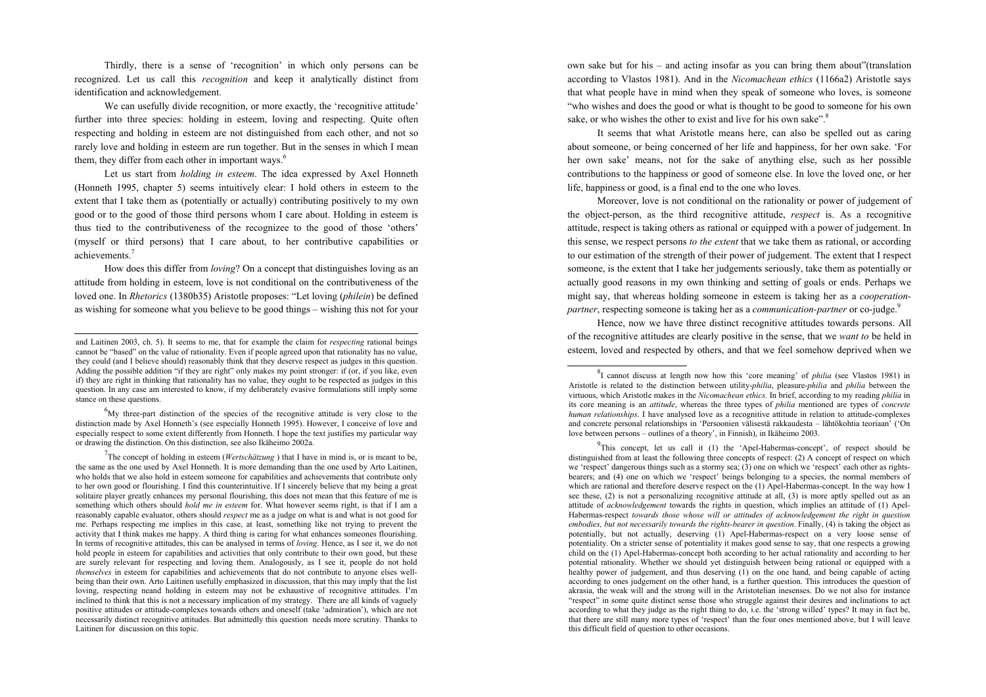Thirdly, there is a sense of 'recognition' in which only persons can be recognized. Let us call this *recognition* and keep it analytically distinct from identification and acknowledgement.

We can usefully divide recognition, or more exactly, the 'recognitive attitude' further into three species: holding in esteem, loving and respecting. Quite often respecting and holding in esteem are not distinguished from each other, and not so rarely love and holding in esteem are run together. But in the senses in which I mean them, they differ from each other in important ways.<sup>6</sup>

 Let us start from *holding in esteem*. The idea expressed by Axel Honneth (Honneth 1995, chapter 5) seems intuitively clear: I hold others in esteem to the extent that I take them as (potentially or actually) contributing positively to my own good or to the good of those third persons whom I care about. Holding in esteem is thus tied to the contributiveness of the recognizee to the good of those 'others' (myself or third persons) that I care about, to her contributive capabilities or achievements<sup>7</sup>

 How does this differ from *loving*? On a concept that distinguishes loving as an attitude from holding in esteem, love is not conditional on the contributiveness of the loved one. In *Rhetorics* (1380b35) Aristotle proposes: "Let loving (*philein*) be defined as wishing for someone what you believe to be good things – wishing this not for your

 $^{6}$ My three-part distinction of the species of the recognitive attitude is very close to the distinction made by Axel Honneth's (see especially Honneth 1995). However, I conceive of love and especially respect to some extent differently from Honneth. I hope the text justifies my particular way or drawing the distinction. On this distinction, see also Ikäheimo 2002a.

<sup>7</sup>The concept of holding in esteem (*Wertschätzung*) that I have in mind is, or is meant to be, the same as the one used by Axel Honneth. It is more demanding than the one used by Arto Laitinen, who holds that we also hold in esteem someone for capabilities and achievements that contribute only to her own good or flourishing. I find this counterintuitive. If I sincerely believe that my being a great solitaire player greatly enhances my personal flourishing, this does not mean that this feature of me is something which others should *hold me in esteem* for. What however seems right, is that if I am a reasonably capable evaluator, others should *respec<sup>t</sup>* me as a judge on what is and what is not good for me. Perhaps respecting me implies in this case, at least, something like not trying to prevent the activity that I think makes me happy. A third thing is caring for what enhances someones flourishing. In terms of recognitive attitudes, this can be analysed in terms of *loving*. Hence, as I see it, we do not hold people in esteem for capabilities and activities that only contribute to their own good, but these are surely relevant for respecting and loving them. Analogously, as I see it, people do not hold *themselves* in esteem for capabilities and achievements that do not contribute to anyone elses wellbeing than their own. Arto Laitinen usefully emphasized in discussion, that this may imply that the list loving, respecting neand holding in esteem may not be exhaustive of recognitive attitudes. I'm inclined to think that this is not a necessary implication of my strategy. There are all kinds of vaguely positive attitudes or attitude-complexes towards others and oneself (take 'admiration'), which are not necessarily distinct recognitive attitudes. But admittedly this question needs more scrutiny. Thanks to Laitinen for discussion on this topic.

own sake but for his – and acting insofar as you can bring them about"(translation according to Vlastos 1981). And in the *Nicomachean ethics* (1166a2) Aristotle says that what people have in mind when they speak of someone who loves, is someone "who wishes and does the good or what is thought to be good to someone for his own sake, or who wishes the other to exist and live for his own sake".<sup>8</sup>

 It seems that what Aristotle means here, can also be spelled out as caring about someone, or being concerned of her life and happiness, for her own sake. 'For her own sake' means, not for the sake of anything else, such as her possible contributions to the happiness or good of someone else. In love the loved one, or her life, happiness or good, is a final end to the one who loves.

 Moreover, love is not conditional on the rationality or power of judgement of the object-person, as the third recognitive attitude, *respec<sup>t</sup>* is. As a recognitive attitude, respect is taking others as rational or equipped with a power of judgement. In this sense, we respect persons *to the extent* that we take them as rational, or according to our estimation of the strength of their power of judgement. The extent that I respect someone, is the extent that I take her judgements seriously, take them as potentially or actually good reasons in my own thinking and setting of goals or ends. Perhaps we might say, that whereas holding someone in esteem is taking her as a *cooperationpartner*, respecting someone is taking her as a *communication-partner* or co-judge.<sup>9</sup>

 Hence, now we have three distinct recognitive attitudes towards persons. All of the recognitive attitudes are clearly positive in the sense, that we *want to* be held in esteem, loved and respected by others, and that we feel somehow deprived when we

 $^{9}$ This concept, let us call it (1) the 'Apel-Habermas-concept', of respect should be distinguished from at least the following three concepts of respect: (2) A concept of respect on which we 'respect' dangerous things such as a stormy sea; (3) one on which we 'respect' each other as rightsbearers; and (4) one on which we 'respect' beings belonging to a species, the normal members of which are rational and therefore deserve respect on the (1) Apel-Habermas-concept. In the way how I see these, (2) is not a personalizing recognitive attitude at all, (3) is more aptly spelled out as an attitude of *acknowledgement* towards the rights in question, which implies an attitude of (1) Apel-Habermas-respect *towards those whose will or attitudes of acknowledgement the right in question embodies, but not necessarily towards the rights-bearer in question*. Finally, (4) is taking the object as potentially, but not actually, deserving (1) Apel-Habermas-respect on a very loose sense of potentiality. On a stricter sense of potentiality it makes good sense to say, that one respects a growing child on the (1) Apel-Habermas-concept both according to her actual rationality and according to her potential rationality. Whether we should yet distinguish between being rational or equipped with a healthy power of judgement, and thus deserving (1) on the one hand, and being capable of acting according to ones judgement on the other hand, is a further question. This introduces the question of akrasia, the weak will and the strong will in the Aristotelian inesenses. Do we not also for instance "respect" in some quite distinct sense those who struggle against their desires and inclinations to act according to what they judge as the right thing to do, i.e. the 'strong willed' types? It may in fact be, that there are still many more types of 'respect' than the four ones mentioned above, but I will leave this difficult field of question to other occasions.

and Laitinen 2003, ch. 5). It seems to me, that for example the claim for *respecting* rational beings cannot be "based" on the value of rationality. Even if people agreed upon that rationality has no value, they could (and I believe should) reasonably think that they deserve respect as judges in this question. Adding the possible addition "if they are right" only makes my point stronger: if (or, if you like, even if) they are right in thinking that rationality has no value, they ought to be respected as judges in this question. In any case am interested to know, if my deliberately evasive formulations still imply some stance on these questions.

<sup>8</sup>I cannot discuss at length now how this 'core meaning' of *philia* (see Vlastos 1981) in Aristotle is related to the distinction between utility-*philia*, pleasure-*philia* and *philia* between the virtuous, which Aristotle makes in the *Nicomachean ethics*. In brief, according to my reading *philia* in its core meaning is an *attitude*, whereas the three types of *philia* mentioned are types of *concrete human relationships*. I have analysed love as a recognitive attitude in relation to attitude-complexes and concrete personal relationships in 'Persoonien välisestä rakkaudesta – lähtökohtia teoriaan' ('On love between persons – outlines of a theory', in Finnish), in Ikäheimo 2003.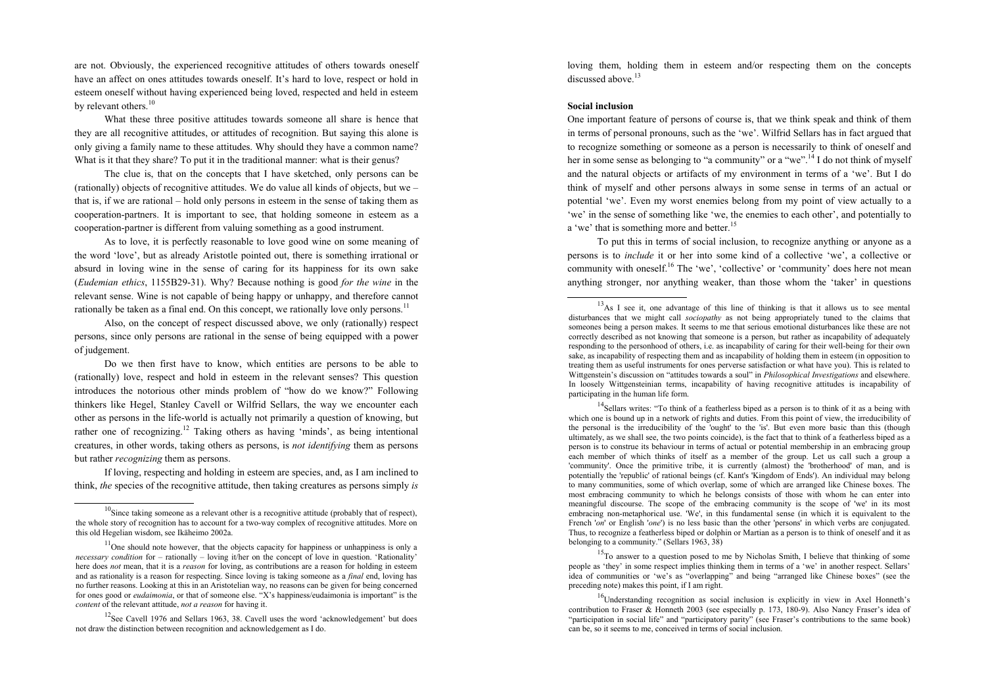are not. Obviously, the experienced recognitive attitudes of others towards oneself have an affect on ones attitudes towards oneself. It's hard to love, respect or hold in esteem oneself without having experienced being loved, respected and held in esteem by relevant others.<sup>10</sup>

 What these three positive attitudes towards someone all share is hence that they are all recognitive attitudes, or attitudes of recognition. But saying this alone is only giving a family name to these attitudes. Why should they have a common name? What is it that they share? To put it in the traditional manner: what is their genus?

 The clue is, that on the concepts that I have sketched, only persons can be (rationally) objects of recognitive attitudes. We do value all kinds of objects, but we – that is, if we are rational – hold only persons in esteem in the sense of taking them as cooperation-partners. It is important to see, that holding someone in esteem as a cooperation-partner is different from valuing something as a good instrument.

 As to love, it is perfectly reasonable to love good wine on some meaning of the word 'love', but as already Aristotle pointed out, there is something irrational or absurd in loving wine in the sense of caring for its happiness for its own sake (*Eudemian ethics*, 1155B29-31). Why? Because nothing is good *for the wine* in the relevant sense. Wine is not capable of being happy or unhappy, and therefore cannot rationally be taken as a final end. On this concept, we rationally love only persons.<sup>11</sup>

Also, on the concept of respect discussed above, we only (rationally) respect persons, since only persons are rational in the sense of being equipped with a power of judgement.

 Do we then first have to know, which entities are persons to be able to (rationally) love, respect and hold in esteem in the relevant senses? This question introduces the notorious other minds problem of "how do we know?" Following thinkers like Hegel, Stanley Cavell or Wilfrid Sellars, the way we encounter each other as persons in the life-world is actually not primarily a question of knowing, but rather one of recognizing.<sup>12</sup> Taking others as having 'minds', as being intentional creatures, in other words, taking others as persons, is *not identifying* them as persons but rather *recognizing* them as persons.

 If loving, respecting and holding in esteem are species, and, as I am inclined to think, *the* species of the recognitive attitude, then taking creatures as persons simply *is*

loving them, holding them in esteem and/or respecting them on the concepts discussed above.<sup>13</sup>

## **Social inclusion**

One important feature of persons of course is, that we think speak and think of them in terms of personal pronouns, such as the 'we'. Wilfrid Sellars has in fact argued that to recognize something or someone as a person is necessarily to think of oneself and her in some sense as belonging to "a community" or a "we".<sup>14</sup> I do not think of myself and the natural objects or artifacts of my environment in terms of a 'we'. But I do think of myself and other persons always in some sense in terms of an actual or potential 'we'. Even my worst enemies belong from my point of view actually to a 'we' in the sense of something like 'we, the enemies to each other', and potentially to a 'we' that is something more and better.<sup>15</sup>

 To put this in terms of social inclusion, to recognize anything or anyone as a persons is to *include* it or her into some kind of a collective 'we', a collective or community with oneself.<sup>16</sup> The 'we', 'collective' or 'community' does here not mean anything stronger, nor anything weaker, than those whom the 'taker' in questions

<sup>14</sup>Sellars writes: "To think of a featherless biped as a person is to think of it as a being with which one is bound up in a network of rights and duties. From this point of view, the irreducibility of the personal is the irreducibility of the 'ought' to the 'is'. But even more basic than this (though ultimately, as we shall see, the two points coincide), is the fact that to think of a featherless biped as a person is to construe its behaviour in terms of actual or potential membership in an embracing group each member of which thinks of itself as a member of the group. Let us call such a group a 'community'. Once the primitive tribe, it is currently (almost) the 'brotherhood' of man, and is potentially the 'republic' of rational beings (cf. Kant's 'Kingdom of Ends'). An individual may belong to many communities, some of which overlap, some of which are arranged like Chinese boxes. The most embracing community to which he belongs consists of those with whom he can enter into meaningful discourse. The scope of the embracing community is the scope of 'we' in its most embracing non-metaphorical use. 'We', in this fundamental sense (in which it is equivalent to the French '*on*' or English '*one*') is no less basic than the other 'persons' in which verbs are conjugated. Thus, to recognize a featherless biped or dolphin or Martian as a person is to think of oneself and it as belonging to a community." (Sellars 1963, 38)

<sup>15</sup>To answer to a question posed to me by Nicholas Smith, I believe that thinking of some people as 'they' in some respect implies thinking them in terms of a 'we' in another respect. Sellars' idea of communities or 'we's as "overlapping" and being "arranged like Chinese boxes" (see the preceding note) makes this point, if I am right.

 $10$ Since taking someone as a relevant other is a recognitive attitude (probably that of respect), the whole story of recognition has to account for a two-way complex of recognitive attitudes. More on this old Hegelian wisdom, see Ikäheimo 2002a.

 $11$ One should note however, that the objects capacity for happiness or unhappiness is only a *necessary condition* for – rationally – loving it/her on the concept of love in question. 'Rationality' here does *not* mean, that it is a *reason* for loving, as contributions are a reason for holding in esteem and as rationality is a reason for respecting. Since loving is taking someone as a *final* end, loving has no further reasons. Looking at this in an Aristotelian way, no reasons can be given for being concerned for ones good or *eudaimonia*, or that of someone else. "X's happiness/eudaimonia is important" is the *content* of the relevant attitude, *not a reason* for having it.

 $12$ See Cavell 1976 and Sellars 1963, 38. Cavell uses the word 'acknowledgement' but does not draw the distinction between recognition and acknowledgement as I do.

<sup>&</sup>lt;sup>13</sup>As I see it, one advantage of this line of thinking is that it allows us to see mental disturbances that we might call *sociopathy* as not being appropriately tuned to the claims that someones being a person makes. It seems to me that serious emotional disturbances like these are not correctly described as not knowing that someone is a person, but rather as incapability of adequately responding to the personhood of others, i.e. as incapability of caring for their well-being for their own sake, as incapability of respecting them and as incapability of holding them in esteem (in opposition to treating them as useful instruments for ones perverse satisfaction or what have you). This is related to Wittgenstein's discussion on "attitudes towards a soul" in *Philosophical Investigations* and elsewhere. In loosely Wittgensteinian terms, incapability of having recognitive attitudes is incapability of participating in the human life form.

<sup>&</sup>lt;sup>16</sup>Understanding recognition as social inclusion is explicitly in view in Axel Honneth's contribution to Fraser & Honneth 2003 (see especially p. 173, 180-9). Also Nancy Fraser's idea of "participation in social life" and "participatory parity" (see Fraser's contributions to the same book) can be, so it seems to me, conceived in terms of social inclusion.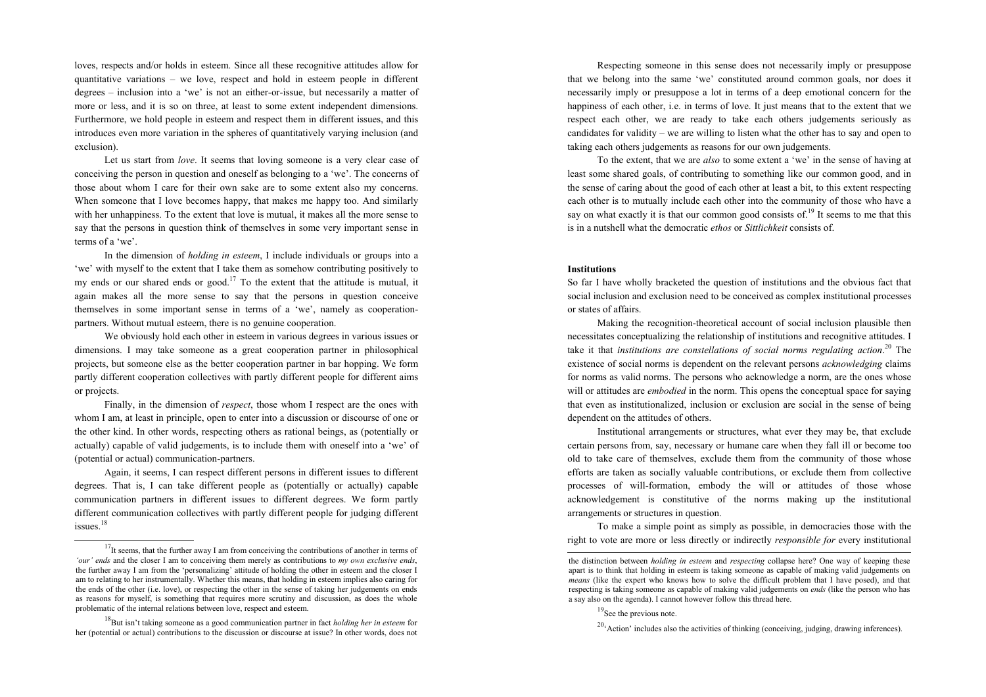loves, respects and/or holds in esteem. Since all these recognitive attitudes allow for quantitative variations – we love, respect and hold in esteem people in different degrees – inclusion into a 'we' is not an either-or-issue, but necessarily a matter of more or less, and it is so on three, at least to some extent independent dimensions. Furthermore, we hold people in esteem and respect them in different issues, and this introduces even more variation in the spheres of quantitatively varying inclusion (and exclusion).

 Let us start from *love*. It seems that loving someone is a very clear case of conceiving the person in question and oneself as belonging to a 'we'. The concerns of those about whom I care for their own sake are to some extent also my concerns. When someone that I love becomes happy, that makes me happy too. And similarly with her unhappiness. To the extent that love is mutual, it makes all the more sense to say that the persons in question think of themselves in some very important sense in terms of a 'we'.

 In the dimension of *holding in esteem*, I include individuals or groups into a 'we' with myself to the extent that I take them as somehow contributing positively to my ends or our shared ends or good.<sup>17</sup> To the extent that the attitude is mutual, it again makes all the more sense to say that the persons in question conceive themselves in some important sense in terms of a 'we', namely as cooperationpartners. Without mutual esteem, there is no genuine cooperation.

 We obviously hold each other in esteem in various degrees in various issues or dimensions. I may take someone as a great cooperation partner in philosophical projects, but someone else as the better cooperation partner in bar hopping. We form partly different cooperation collectives with partly different people for different aims or projects.

 Finally, in the dimension of *respect*, those whom I respect are the ones with whom I am, at least in principle, open to enter into a discussion or discourse of one or the other kind. In other words, respecting others as rational beings, as (potentially or actually) capable of valid judgements, is to include them with oneself into a 'we' of (potential or actual) communication-partners.

 Again, it seems, I can respect different persons in different issues to different degrees. That is, I can take different people as (potentially or actually) capable communication partners in different issues to different degrees. We form partly different communication collectives with partly different people for judging different issues.<sup>18</sup>

 Respecting someone in this sense does not necessarily imply or presuppose that we belong into the same 'we' constituted around common goals, nor does it necessarily imply or presuppose a lot in terms of a deep emotional concern for the happiness of each other, i.e. in terms of love. It just means that to the extent that we respect each other, we are ready to take each others judgements seriously as candidates for validity – we are willing to listen what the other has to say and open to taking each others judgements as reasons for our own judgements.

 To the extent, that we are *also* to some extent a 'we' in the sense of having at least some shared goals, of contributing to something like our common good, and in the sense of caring about the good of each other at least a bit, to this extent respecting each other is to mutually include each other into the community of those who have a say on what exactly it is that our common good consists of.<sup>19</sup> It seems to me that this is in a nutshell what the democratic *ethos* or *Sittlichkeit* consists of.

#### **Institutions**

So far I have wholly bracketed the question of institutions and the obvious fact that social inclusion and exclusion need to be conceived as complex institutional processes or states of affairs.

 Making the recognition-theoretical account of social inclusion plausible then necessitates conceptualizing the relationship of institutions and recognitive attitudes. I take it that *institutions are constellations of social norms regulating action*.<sup>20</sup> The existence of social norms is dependent on the relevant persons *acknowledging* claims for norms as valid norms. The persons who acknowledge a norm, are the ones whose will or attitudes are *embodied* in the norm. This opens the conceptual space for saying that even as institutionalized, inclusion or exclusion are social in the sense of being dependent on the attitudes of others.

 Institutional arrangements or structures, what ever they may be, that exclude certain persons from, say, necessary or humane care when they fall ill or become too old to take care of themselves, exclude them from the community of those whose efforts are taken as socially valuable contributions, or exclude them from collective processes of will-formation, embody the will or attitudes of those whose acknowledgement is constitutive of the norms making up the institutional arrangements or structures in question.

 To make a simple point as simply as possible, in democracies those with the right to vote are more or less directly or indirectly *responsible for* every institutional

<sup>19</sup>See the previous note.

 $17$ It seems, that the further away I am from conceiving the contributions of another in terms of *'our' ends* and the closer I am to conceiving them merely as contributions to *my own exclusive ends*, the further away I am from the 'personalizing' attitude of holding the other in esteem and the closer I am to relating to her instrumentally. Whether this means, that holding in esteem implies also caring for the ends of the other (i.e. love), or respecting the other in the sense of taking her judgements on ends as reasons for myself, is something that requires more scrutiny and discussion, as does the whole problematic of the internal relations between love, respect and esteem.

<sup>18</sup>But isn't taking someone as a good communication partner in fact *holding her in esteem* for her (potential or actual) contributions to the discussion or discourse at issue? In other words, does not

the distinction between *holding in esteem* and *respecting* collapse here? One way of keeping these apart is to think that holding in esteem is taking someone as capable of making valid judgements on *means* (like the expert who knows how to solve the difficult problem that I have posed), and that respecting is taking someone as capable of making valid judgements on *ends* (like the person who has a say also on the agenda). I cannot however follow this thread here.

 $20<sub>c</sub>$  Action' includes also the activities of thinking (conceiving, judging, drawing inferences).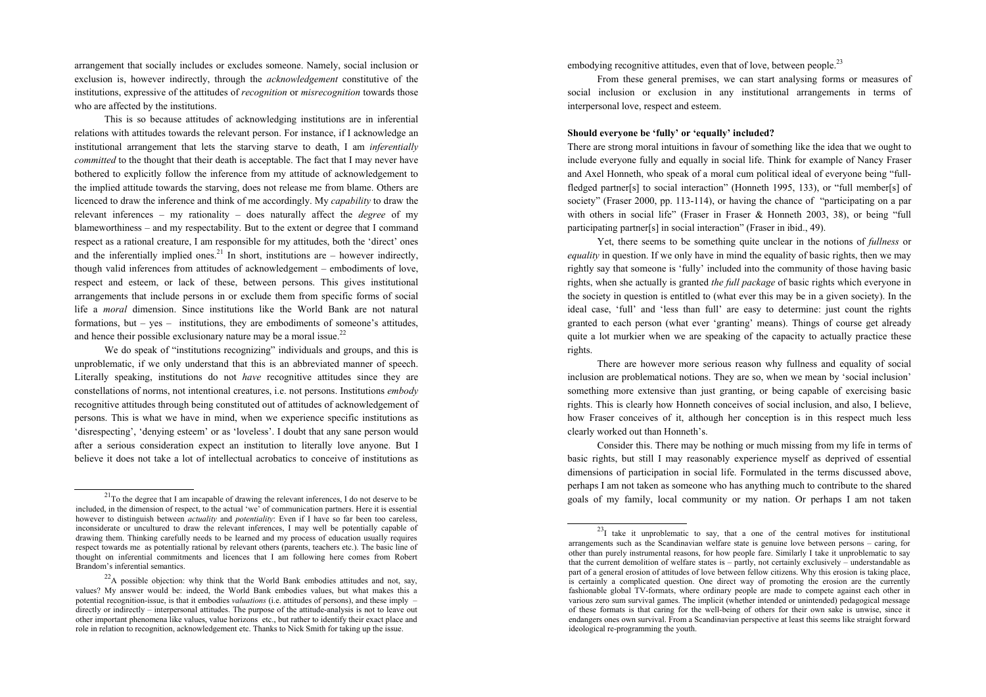arrangement that socially includes or excludes someone. Namely, social inclusion or exclusion is, however indirectly, through the *acknowledgement* constitutive of the institutions, expressive of the attitudes of *recognition* or *misrecognition* towards those who are affected by the institutions.

 This is so because attitudes of acknowledging institutions are in inferential relations with attitudes towards the relevant person. For instance, if I acknowledge an institutional arrangement that lets the starving starve to death, I am *inferentially committed* to the thought that their death is acceptable. The fact that I may never have bothered to explicitly follow the inference from my attitude of acknowledgement to the implied attitude towards the starving, does not release me from blame. Others are licenced to draw the inference and think of me accordingly. My *capability* to draw the relevant inferences – my rationality – does naturally affect the *degree* of my blameworthiness – and my respectability. But to the extent or degree that I command respect as a rational creature, I am responsible for my attitudes, both the 'direct' ones and the inferentially implied ones.<sup>21</sup> In short, institutions are  $-$  however indirectly, though valid inferences from attitudes of acknowledgement – embodiments of love, respect and esteem, or lack of these, between persons. This gives institutional arrangements that include persons in or exclude them from specific forms of social life a *moral* dimension. Since institutions like the World Bank are not natural formations, but – yes – institutions, they are embodiments of someone's attitudes, and hence their possible exclusionary nature may be a moral issue.<sup>22</sup>

We do speak of "institutions recognizing" individuals and groups, and this is unproblematic, if we only understand that this is an abbreviated manner of speech. Literally speaking, institutions do not *have* recognitive attitudes since they are constellations of norms, not intentional creatures, i.e. not persons. Institutions *embody* recognitive attitudes through being constituted out of attitudes of acknowledgement of persons. This is what we have in mind, when we experience specific institutions as 'disrespecting', 'denying esteem' or as 'loveless'. I doubt that any sane person would after a serious consideration expect an institution to literally love anyone. But I believe it does not take a lot of intellectual acrobatics to conceive of institutions as

embodying recognitive attitudes, even that of love, between people.<sup>23</sup>

 From these general premises, we can start analysing forms or measures of social inclusion or exclusion in any institutional arrangements in terms of interpersonal love, respect and esteem.

#### **Should everyone be 'fully' or 'equally' included?**

There are strong moral intuitions in favour of something like the idea that we ought to include everyone fully and equally in social life. Think for example of Nancy Fraser and Axel Honneth, who speak of a moral cum political ideal of everyone being "fullfledged partner[s] to social interaction" (Honneth 1995, 133), or "full member[s] of society" (Fraser 2000, pp. 113-114), or having the chance of "participating on a par with others in social life" (Fraser in Fraser & Honneth 2003, 38), or being "full participating partner[s] in social interaction" (Fraser in ibid., 49).

 Yet, there seems to be something quite unclear in the notions of *fullness* or *equality* in question. If we only have in mind the equality of basic rights, then we may rightly say that someone is 'fully' included into the community of those having basic rights, when she actually is granted *the full package* of basic rights which everyone in the society in question is entitled to (what ever this may be in a given society). In the ideal case, 'full' and 'less than full' are easy to determine: just count the rights granted to each person (what ever 'granting' means). Things of course get already quite a lot murkier when we are speaking of the capacity to actually practice these rights.

 There are however more serious reason why fullness and equality of social inclusion are problematical notions. They are so, when we mean by 'social inclusion' something more extensive than just granting, or being capable of exercising basic rights. This is clearly how Honneth conceives of social inclusion, and also, I believe, how Fraser conceives of it, although her conception is in this respect much less clearly worked out than Honneth's.

 Consider this. There may be nothing or much missing from my life in terms of basic rights, but still I may reasonably experience myself as deprived of essential dimensions of participation in social life. Formulated in the terms discussed above, perhaps I am not taken as someone who has anything much to contribute to the shared goals of my family, local community or my nation. Or perhaps I am not taken

<sup>&</sup>lt;sup>21</sup>To the degree that I am incapable of drawing the relevant inferences, I do not deserve to be included, in the dimension of respect, to the actual 'we' of communication partners. Here it is essential however to distinguish between *actuality* and *potentiality*: Even if I have so far been too careless, inconsiderate or uncultured to draw the relevant inferences, I may well be potentially capable of drawing them. Thinking carefully needs to be learned and my process of education usually requires respect towards me as potentially rational by relevant others (parents, teachers etc.). The basic line of thought on inferential commitments and licences that I am following here comes from Robert Brandom's inferential semantics.

 $22A$  possible objection: why think that the World Bank embodies attitudes and not, say, values? My answer would be: indeed, the World Bank embodies values, but what makes this a potential recognition-issue, is that it embodies *valuations* (i.e. attitudes of persons), and these imply – directly or indirectly – interpersonal attitudes. The purpose of the attitude-analysis is not to leave out other important phenomena like values, value horizons etc., but rather to identify their exact place and role in relation to recognition, acknowledgement etc. Thanks to Nick Smith for taking up the issue.

 $^{23}$ I take it unproblematic to say, that a one of the central motives for institutional arrangements such as the Scandinavian welfare state is genuine love between persons – caring, for other than purely instrumental reasons, for how people fare. Similarly I take it unproblematic to say that the current demolition of welfare states is – partly, not certainly exclusively – understandable as part of a general erosion of attitudes of love between fellow citizens. Why this erosion is taking place, is certainly a complicated question. One direct way of promoting the erosion are the currently fashionable global TV-formats, where ordinary people are made to compete against each other in various zero sum survival games. The implicit (whether intended or unintended) pedagogical message of these formats is that caring for the well-being of others for their own sake is unwise, since it endangers ones own survival. From a Scandinavian perspective at least this seems like straight forward ideological re-programming the youth.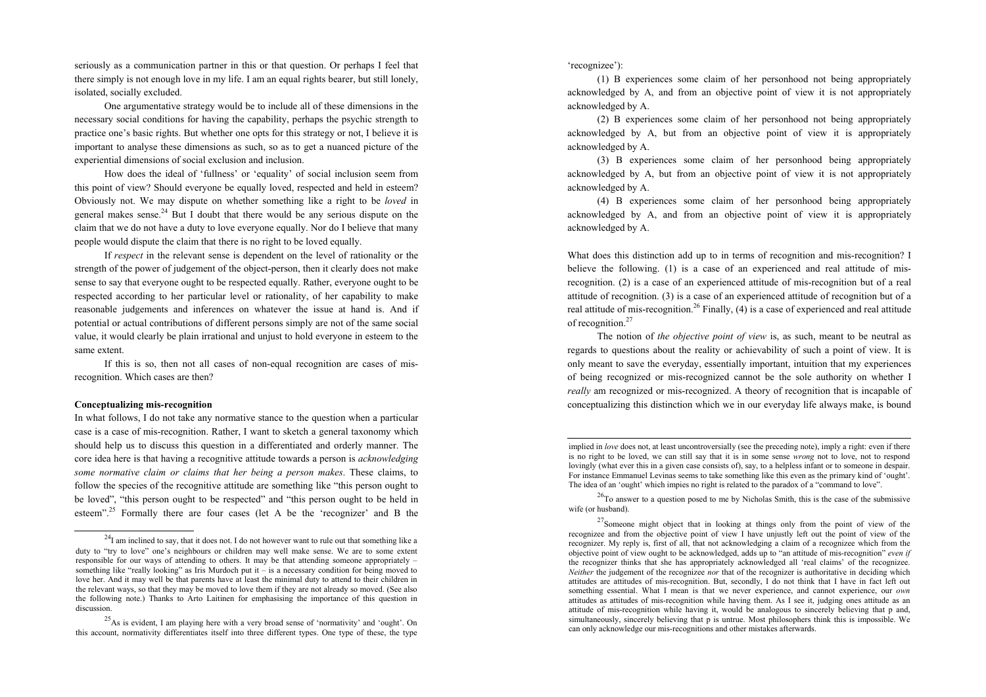seriously as a communication partner in this or that question. Or perhaps I feel that there simply is not enough love in my life. I am an equal rights bearer, but still lonely, isolated, socially excluded.

 One argumentative strategy would be to include all of these dimensions in the necessary social conditions for having the capability, perhaps the psychic strength to practice one's basic rights. But whether one opts for this strategy or not, I believe it is important to analyse these dimensions as such, so as to get a nuanced picture of the experiential dimensions of social exclusion and inclusion.

 How does the ideal of 'fullness' or 'equality' of social inclusion seem from this point of view? Should everyone be equally loved, respected and held in esteem? Obviously not. We may dispute on whether something like a right to be *loved* in general makes sense.<sup>24</sup> But I doubt that there would be any serious dispute on the claim that we do not have a duty to love everyone equally. Nor do I believe that many people would dispute the claim that there is no right to be loved equally.

 If *respec<sup>t</sup>* in the relevant sense is dependent on the level of rationality or the strength of the power of judgement of the object-person, then it clearly does not make sense to say that everyone ought to be respected equally. Rather, everyone ought to be respected according to her particular level or rationality, of her capability to make reasonable judgements and inferences on whatever the issue at hand is. And if potential or actual contributions of different persons simply are not of the same social value, it would clearly be plain irrational and unjust to hold everyone in esteem to the same extent.

 If this is so, then not all cases of non-equal recognition are cases of misrecognition. Which cases are then?

# **Conceptualizing mis-recognition**

In what follows, I do not take any normative stance to the question when a particular case is a case of mis-recognition. Rather, I want to sketch a general taxonomy which should help us to discuss this question in a differentiated and orderly manner. The core idea here is that having a recognitive attitude towards a person is *acknowledging some normative claim or claims that her being a person makes*. These claims, to follow the species of the recognitive attitude are something like "this person ought to be loved", "this person ought to be respected" and "this person ought to be held in esteem".<sup>25</sup> Formally there are four cases (let A be the 'recognizer' and B the 'recognizee'):

 (1) B experiences some claim of her personhood not being appropriately acknowledged by A, and from an objective point of view it is not appropriately acknowledged by A.

 (2) B experiences some claim of her personhood not being appropriately acknowledged by A, but from an objective point of view it is appropriately acknowledged by A.

 (3) B experiences some claim of her personhood being appropriately acknowledged by A, but from an objective point of view it is not appropriately acknowledged by A.

 (4) B experiences some claim of her personhood being appropriately acknowledged by A, and from an objective point of view it is appropriately acknowledged by A.

What does this distinction add up to in terms of recognition and mis-recognition? I believe the following. (1) is a case of an experienced and real attitude of misrecognition. (2) is a case of an experienced attitude of mis-recognition but of a real attitude of recognition. (3) is a case of an experienced attitude of recognition but of a real attitude of mis-recognition.<sup>26</sup> Finally, (4) is a case of experienced and real attitude of recognition.<sup>27</sup>

 The notion of *the objective point of view* is, as such, meant to be neutral as regards to questions about the reality or achievability of such a point of view. It is only meant to save the everyday, essentially important, intuition that my experiences of being recognized or mis-recognized cannot be the sole authority on whether I *really* am recognized or mis-recognized. A theory of recognition that is incapable of conceptualizing this distinction which we in our everyday life always make, is bound

 $^{26}$ To answer to a question posed to me by Nicholas Smith, this is the case of the submissive wife (or husband).

 $^{24}$ I am inclined to say, that it does not. I do not however want to rule out that something like a duty to "try to love" one's neighbours or children may well make sense. We are to some extent responsible for our ways of attending to others. It may be that attending someone appropriately – something like "really looking" as Iris Murdoch put it – is a necessary condition for being moved to love her. And it may well be that parents have at least the minimal duty to attend to their children in the relevant ways, so that they may be moved to love them if they are not already so moved. (See also the following note.) Thanks to Arto Laitinen for emphasising the importance of this question in discussion.

<sup>25</sup>As is evident, I am playing here with a very broad sense of 'normativity' and 'ought'. On this account, normativity differentiates itself into three different types. One type of these, the type

implied in *love* does not, at least uncontroversially (see the preceding note), imply a right: even if there is no right to be loved, we can still say that it is in some sense *wrong* not to love, not to respond lovingly (what ever this in a given case consists of), say, to a helpless infant or to someone in despair. For instance Emmanuel Levinas seems to take something like this even as the primary kind of 'ought'. The idea of an 'ought' which impies no right is related to the paradox of a "command to love".

<sup>&</sup>lt;sup>27</sup>Someone might object that in looking at things only from the point of view of the recognizee and from the objective point of view I have unjustly left out the point of view of the recognizer. My reply is, first of all, that not acknowledging a claim of a recognizee which from the objective point of view ought to be acknowledged, adds up to "an attitude of mis-recognition" *even if* the recognizer thinks that she has appropriately acknowledged all 'real claims' of the recognizee. *Neither* the judgement of the recognizee *nor* that of the recognizer is authoritative in deciding which attitudes are attitudes of mis-recognition. But, secondly, I do not think that I have in fact left out something essential. What I mean is that we never experience, and cannot experience, our *own* attitudes as attitudes of mis-recognition while having them. As I see it, judging ones attitude as an attitude of mis-recognition while having it, would be analogous to sincerely believing that p and, simultaneously, sincerely believing that p is untrue. Most philosophers think this is impossible. We can only acknowledge our mis-recognitions and other mistakes afterwards.